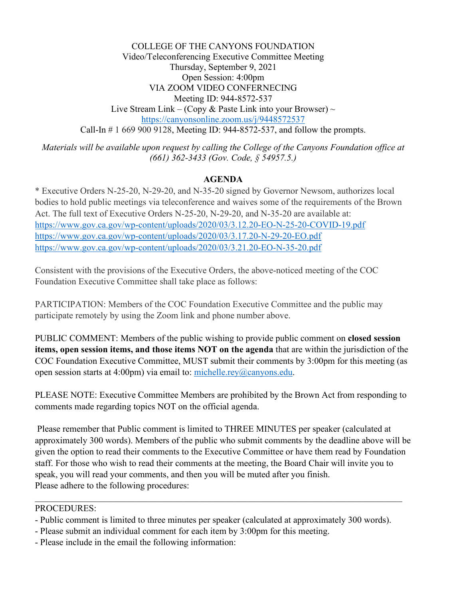COLLEGE OF THE CANYONS FOUNDATION Video/Teleconferencing Executive Committee Meeting Thursday, September 9, 2021 Open Session: 4:00pm VIA ZOOM VIDEO CONFERNECING Meeting ID: 944-8572-537 Live Stream Link – (Copy & Paste Link into your Browser)  $\sim$ <https://canyonsonline.zoom.us/j/9448572537> Call-In # 1 669 900 9128, Meeting ID: 944-8572-537, and follow the prompts.

*Materials will be available upon request by calling the College of the Canyons Foundation office at (661) 362-3433 (Gov. Code, § 54957.5.)*

## **AGENDA**

\* Executive Orders N-25-20, N-29-20, and N-35-20 signed by Governor Newsom, authorizes local bodies to hold public meetings via teleconference and waives some of the requirements of the Brown Act. The full text of Executive Orders N-25-20, N-29-20, and N-35-20 are available at: <https://www.gov.ca.gov/wp-content/uploads/2020/03/3.12.20-EO-N-25-20-COVID-19.pdf> <https://www.gov.ca.gov/wp-content/uploads/2020/03/3.17.20-N-29-20-EO.pdf> <https://www.gov.ca.gov/wp-content/uploads/2020/03/3.21.20-EO-N-35-20.pdf>

Consistent with the provisions of the Executive Orders, the above-noticed meeting of the COC Foundation Executive Committee shall take place as follows:

PARTICIPATION: Members of the COC Foundation Executive Committee and the public may participate remotely by using the Zoom link and phone number above.

PUBLIC COMMENT: Members of the public wishing to provide public comment on **closed session items, open session items, and those items NOT on the agenda** that are within the jurisdiction of the COC Foundation Executive Committee, MUST submit their comments by 3:00pm for this meeting (as open session starts at 4:00pm) via email to: [michelle.rey@canyons.edu.](mailto:michelle.rey@canyons.edu)

PLEASE NOTE: Executive Committee Members are prohibited by the Brown Act from responding to comments made regarding topics NOT on the official agenda.

Please remember that Public comment is limited to THREE MINUTES per speaker (calculated at approximately 300 words). Members of the public who submit comments by the deadline above will be given the option to read their comments to the Executive Committee or have them read by Foundation staff. For those who wish to read their comments at the meeting, the Board Chair will invite you to speak, you will read your comments, and then you will be muted after you finish. Please adhere to the following procedures:

## PROCEDURES:

- Public comment is limited to three minutes per speaker (calculated at approximately 300 words).
- Please submit an individual comment for each item by 3:00pm for this meeting.
- Please include in the email the following information: